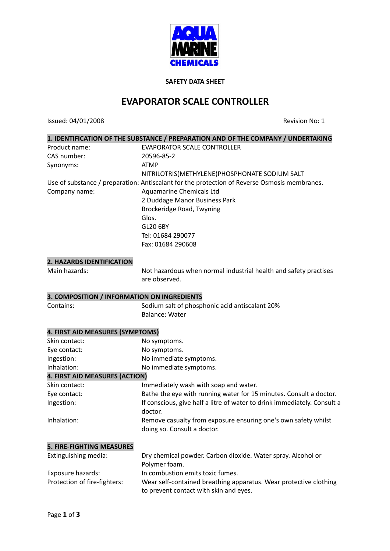

#### **SAFETY DATA SHEET**

# **EVAPORATOR SCALE CONTROLLER**

Issued: 04/01/2008 Revision No: 1

|                                             | 1. IDENTIFICATION OF THE SUBSTANCE / PREPARATION AND OF THE COMPANY / UNDERTAKING            |
|---------------------------------------------|----------------------------------------------------------------------------------------------|
| Product name:                               | <b>EVAPORATOR SCALE CONTROLLER</b>                                                           |
| CAS number:                                 | 20596-85-2                                                                                   |
| Synonyms:                                   | <b>ATMP</b>                                                                                  |
|                                             | NITRILOTRIS(METHYLENE)PHOSPHONATE SODIUM SALT                                                |
|                                             | Use of substance / preparation: Antiscalant for the protection of Reverse Osmosis membranes. |
| Company name:                               | <b>Aquamarine Chemicals Ltd</b>                                                              |
|                                             | 2 Duddage Manor Business Park                                                                |
|                                             | Brockeridge Road, Twyning                                                                    |
|                                             | Glos.                                                                                        |
|                                             | <b>GL20 6BY</b>                                                                              |
|                                             | Tel: 01684 290077                                                                            |
|                                             | Fax: 01684 290608                                                                            |
| 2. HAZARDS IDENTIFICATION                   |                                                                                              |
| Main hazards:                               | Not hazardous when normal industrial health and safety practises                             |
|                                             | are observed.                                                                                |
|                                             |                                                                                              |
| 3. COMPOSITION / INFORMATION ON INGREDIENTS |                                                                                              |
| Contains:                                   | Sodium salt of phosphonic acid antiscalant 20%                                               |
|                                             | <b>Balance: Water</b>                                                                        |
| 4. FIRST AID MEASURES (SYMPTOMS)            |                                                                                              |
| Skin contact:                               | No symptoms.                                                                                 |
| Eye contact:                                | No symptoms.                                                                                 |
| Ingestion:                                  | No immediate symptoms.                                                                       |
| Inhalation:                                 | No immediate symptoms.                                                                       |
| 4. FIRST AID MEASURES (ACTION)              |                                                                                              |
| Skin contact:                               | Immediately wash with soap and water.                                                        |
| Eye contact:                                | Bathe the eye with running water for 15 minutes. Consult a doctor.                           |
| Ingestion:                                  | If conscious, give half a litre of water to drink immediately. Consult a                     |
|                                             | doctor.                                                                                      |
| Inhalation:                                 | Remove casualty from exposure ensuring one's own safety whilst                               |
|                                             | doing so. Consult a doctor.                                                                  |
| <b>5. FIRE-FIGHTING MEASURES</b>            |                                                                                              |
| Extinguishing media:                        | Dry chemical powder. Carbon dioxide. Water spray. Alcohol or                                 |
|                                             | Polymer foam.                                                                                |
| Exposure hazards:                           | In combustion emits toxic fumes.                                                             |
| Protection of fire-fighters:                | Wear self-contained breathing apparatus. Wear protective clothing                            |
|                                             | to prevent contact with skin and eyes.                                                       |
|                                             |                                                                                              |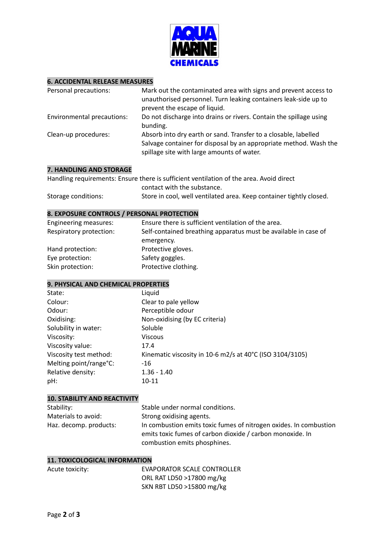

#### **6. ACCIDENTAL RELEASE MEASURES**

| Personal precautions:      | Mark out the contaminated area with signs and prevent access to<br>unauthorised personnel. Turn leaking containers leak-side up to<br>prevent the escape of liquid.                |
|----------------------------|------------------------------------------------------------------------------------------------------------------------------------------------------------------------------------|
| Environmental precautions: | Do not discharge into drains or rivers. Contain the spillage using<br>bunding.                                                                                                     |
| Clean-up procedures:       | Absorb into dry earth or sand. Transfer to a closable, labelled<br>Salvage container for disposal by an appropriate method. Wash the<br>spillage site with large amounts of water. |

# **7. HANDLING AND STORAGE**

|                     | Handling requirements: Ensure there is sufficient ventilation of the area. Avoid direct |
|---------------------|-----------------------------------------------------------------------------------------|
|                     | contact with the substance.                                                             |
| Storage conditions: | Store in cool, well ventilated area. Keep container tightly closed.                     |

#### **8. EXPOSURE CONTROLS / PERSONAL PROTECTION**

| Ensure there is sufficient ventilation of the area.             |
|-----------------------------------------------------------------|
| Self-contained breathing apparatus must be available in case of |
| emergency.                                                      |
| Protective gloves.                                              |
| Safety goggles.                                                 |
| Protective clothing.                                            |
|                                                                 |

# **9. PHYSICAL AND CHEMICAL PROPERTIES**

| State:                 | Liquid                                                   |
|------------------------|----------------------------------------------------------|
| Colour:                | Clear to pale yellow                                     |
| Odour:                 | Perceptible odour                                        |
| Oxidising:             | Non-oxidising (by EC criteria)                           |
| Solubility in water:   | Soluble                                                  |
| Viscosity:             | <b>Viscous</b>                                           |
| Viscosity value:       | 17.4                                                     |
| Viscosity test method: | Kinematic viscosity in 10-6 m2/s at 40°C (ISO 3104/3105) |
| Melting point/range°C: | $-16$                                                    |
| Relative density:      | $1.36 - 1.40$                                            |
| pH:                    | 10-11                                                    |

# **10. STABILITY AND REACTIVITY**

| Stability:             | Stable under normal conditions.                                                                                                |
|------------------------|--------------------------------------------------------------------------------------------------------------------------------|
| Materials to avoid:    | Strong oxidising agents.                                                                                                       |
| Haz. decomp. products: | In combustion emits toxic fumes of nitrogen oxides. In combustion<br>emits toxic fumes of carbon dioxide / carbon monoxide. In |
|                        | combustion emits phosphines.                                                                                                   |

# **11. TOXICOLOGICAL INFORMATION**

| Acute toxicity: | EVAPORATOR SCALE CONTROLLER |
|-----------------|-----------------------------|
|                 | ORL RAT LD50 >17800 mg/kg   |
|                 | SKN RBT LD50 >15800 mg/kg   |